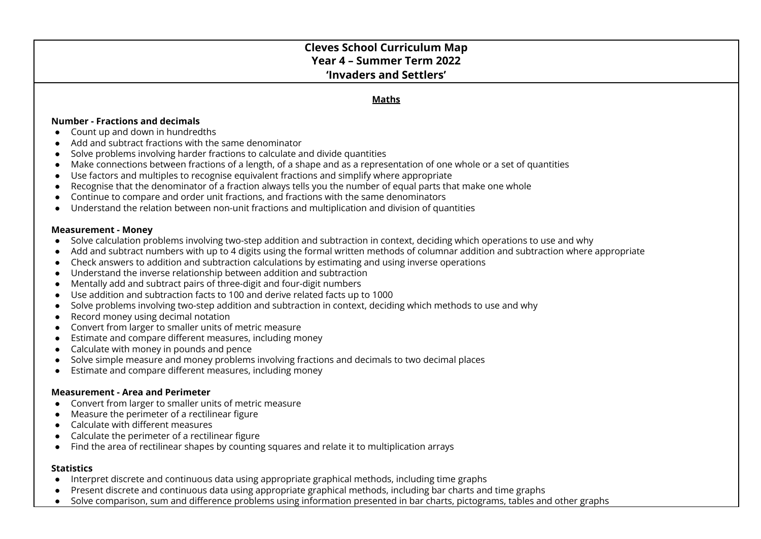# **Cleves School Curriculum Map Year 4 – Summer Term 2022 'Invaders and Settlers'**

### **Maths**

#### **Number - Fractions and decimals**

- $\bullet$  Count up and down in hundredths
- Add and subtract fractions with the same denominator
- Solve problems involving harder fractions to calculate and divide quantities
- Make connections between fractions of a length, of a shape and as a representation of one whole or a set of quantities
- Use factors and multiples to recognise equivalent fractions and simplify where appropriate
- Recognise that the denominator of a fraction always tells you the number of equal parts that make one whole
- Continue to compare and order unit fractions, and fractions with the same denominators
- Understand the relation between non-unit fractions and multiplication and division of quantities

#### **Measurement - Money**

- Solve calculation problems involving two-step addition and subtraction in context, deciding which operations to use and why
- Add and subtract numbers with up to 4 digits using the formal written methods of columnar addition and subtraction where appropriate
- Check answers to addition and subtraction calculations by estimating and using inverse operations
- Understand the inverse relationship between addition and subtraction
- Mentally add and subtract pairs of three-digit and four-digit numbers
- Use addition and subtraction facts to 100 and derive related facts up to 1000
- Solve problems involving two-step addition and subtraction in context, deciding which methods to use and why
- Record money using decimal notation
- Convert from larger to smaller units of metric measure
- Estimate and compare different measures, including money
- Calculate with money in pounds and pence
- Solve simple measure and money problems involving fractions and decimals to two decimal places
- Estimate and compare different measures, including money

#### **Measurement - Area and Perimeter**

- Convert from larger to smaller units of metric measure
- Measure the perimeter of a rectilinear figure
- Calculate with different measures
- Calculate the perimeter of a rectilinear figure
- Find the area of rectilinear shapes by counting squares and relate it to multiplication arrays

### **Statistics**

- Interpret discrete and continuous data using appropriate graphical methods, including time graphs
- Present discrete and continuous data using appropriate graphical methods, including bar charts and time graphs
- Solve comparison, sum and difference problems using information presented in bar charts, pictograms, tables and other graphs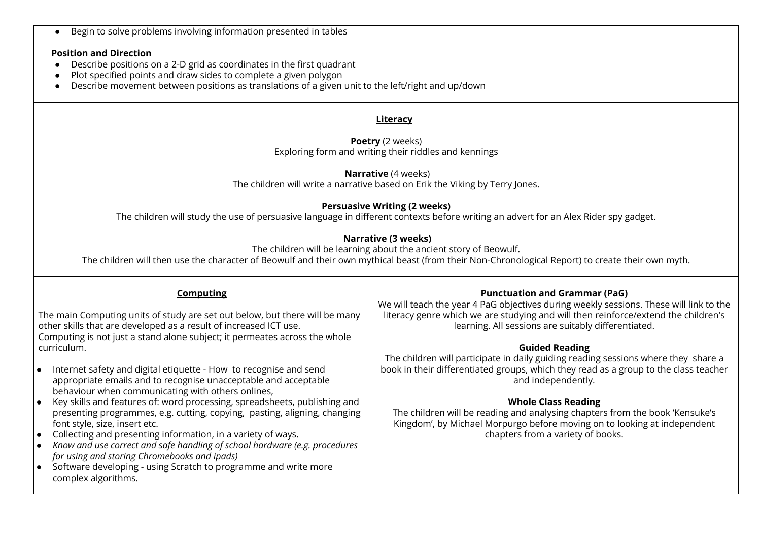● Begin to solve problems involving information presented in tables

### **Position and Direction**

- Describe positions on a 2-D grid as coordinates in the first quadrant
- Plot specified points and draw sides to complete a given polygon
- Describe movement between positions as translations of a given unit to the left/right and up/down

# **Literacy**

#### **Poetry** (2 weeks) Exploring form and writing their riddles and kennings

**Narrative** (4 weeks) The children will write a narrative based on Erik the Viking by Terry Jones.

## **Persuasive Writing (2 weeks)**

The children will study the use of persuasive language in different contexts before writing an advert for an Alex Rider spy gadget.

## **Narrative (3 weeks)**

The children will be learning about the ancient story of Beowulf.

The children will then use the character of Beowulf and their own mythical beast (from their Non-Chronological Report) to create their own myth.

|                                                                                                                                                                                                                                | Computing                                                                                                                                                                                                                                                                        | <b>Punctuation and Grammar (PaG)</b><br>We will teach the year 4 PaG objectives during weekly sessions. These will link to the                                                                   |  |
|--------------------------------------------------------------------------------------------------------------------------------------------------------------------------------------------------------------------------------|----------------------------------------------------------------------------------------------------------------------------------------------------------------------------------------------------------------------------------------------------------------------------------|--------------------------------------------------------------------------------------------------------------------------------------------------------------------------------------------------|--|
| The main Computing units of study are set out below, but there will be many<br>other skills that are developed as a result of increased ICT use.<br>Computing is not just a stand alone subject; it permeates across the whole |                                                                                                                                                                                                                                                                                  | literacy genre which we are studying and will then reinforce/extend the children's<br>learning. All sessions are suitably differentiated.                                                        |  |
| curriculum.                                                                                                                                                                                                                    |                                                                                                                                                                                                                                                                                  | <b>Guided Reading</b>                                                                                                                                                                            |  |
|                                                                                                                                                                                                                                | Internet safety and digital etiquette - How to recognise and send<br>ه ا<br>appropriate emails and to recognise unacceptable and acceptable<br>behaviour when communicating with others onlines,                                                                                 | The children will participate in daily guiding reading sessions where they share a<br>book in their differentiated groups, which they read as a group to the class teacher<br>and independently. |  |
|                                                                                                                                                                                                                                | Key skills and features of: word processing, spreadsheets, publishing and<br>I۰<br>presenting programmes, e.g. cutting, copying, pasting, aligning, changing<br>font style, size, insert etc.                                                                                    | <b>Whole Class Reading</b><br>The children will be reading and analysing chapters from the book 'Kensuke's<br>Kingdom', by Michael Morpurgo before moving on to looking at independent           |  |
|                                                                                                                                                                                                                                | Collecting and presenting information, in a variety of ways.<br>I۰<br>Know and use correct and safe handling of school hardware (e.g. procedures<br>1●<br>for using and storing Chromebooks and ipads)<br>Software developing - using Scratch to programme and write more<br>ه ا | chapters from a variety of books.                                                                                                                                                                |  |
|                                                                                                                                                                                                                                | complex algorithms.                                                                                                                                                                                                                                                              |                                                                                                                                                                                                  |  |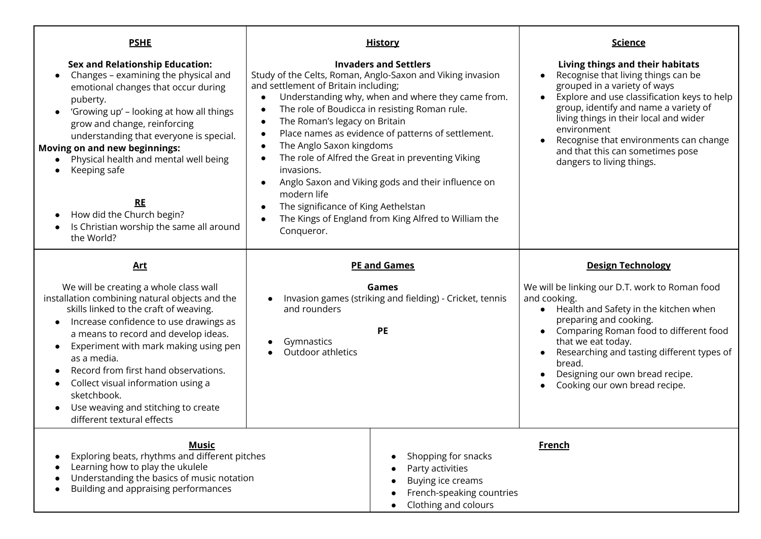| <b>PSHE</b>                                                                                                                                                                                                                                                                                                                                                                                                                                                                             | <b>History</b>                                                                                                                                                                                                                                                                                                                                                                                                                                                                                                                                                                                                                             | <u>Science</u>                                                                                                                                                                                                                                                                                                                                                      |
|-----------------------------------------------------------------------------------------------------------------------------------------------------------------------------------------------------------------------------------------------------------------------------------------------------------------------------------------------------------------------------------------------------------------------------------------------------------------------------------------|--------------------------------------------------------------------------------------------------------------------------------------------------------------------------------------------------------------------------------------------------------------------------------------------------------------------------------------------------------------------------------------------------------------------------------------------------------------------------------------------------------------------------------------------------------------------------------------------------------------------------------------------|---------------------------------------------------------------------------------------------------------------------------------------------------------------------------------------------------------------------------------------------------------------------------------------------------------------------------------------------------------------------|
| <b>Sex and Relationship Education:</b><br>Changes - examining the physical and<br>$\bullet$<br>emotional changes that occur during<br>puberty.<br>'Growing up' - looking at how all things<br>$\bullet$<br>grow and change, reinforcing<br>understanding that everyone is special.<br><b>Moving on and new beginnings:</b><br>Physical health and mental well being<br>Keeping safe<br><b>RE</b><br>How did the Church begin?<br>Is Christian worship the same all around<br>the World? | <b>Invaders and Settlers</b><br>Study of the Celts, Roman, Anglo-Saxon and Viking invasion<br>and settlement of Britain including;<br>Understanding why, when and where they came from.<br>The role of Boudicca in resisting Roman rule.<br>The Roman's legacy on Britain<br>Place names as evidence of patterns of settlement.<br>The Anglo Saxon kingdoms<br>$\bullet$<br>The role of Alfred the Great in preventing Viking<br>invasions.<br>Anglo Saxon and Viking gods and their influence on<br>$\bullet$<br>modern life<br>The significance of King Aethelstan<br>The Kings of England from King Alfred to William the<br>Conqueror. | Living things and their habitats<br>Recognise that living things can be<br>grouped in a variety of ways<br>Explore and use classification keys to help<br>group, identify and name a variety of<br>living things in their local and wider<br>environment<br>Recognise that environments can change<br>and that this can sometimes pose<br>dangers to living things. |
| <b>Art</b>                                                                                                                                                                                                                                                                                                                                                                                                                                                                              | <b>PE and Games</b>                                                                                                                                                                                                                                                                                                                                                                                                                                                                                                                                                                                                                        | <b>Design Technology</b>                                                                                                                                                                                                                                                                                                                                            |
| We will be creating a whole class wall<br>installation combining natural objects and the<br>skills linked to the craft of weaving.<br>Increase confidence to use drawings as<br>a means to record and develop ideas.<br>Experiment with mark making using pen<br>$\bullet$<br>as a media.<br>Record from first hand observations.<br>Collect visual information using a<br>sketchbook.<br>Use weaving and stitching to create<br>different textural effects                             | Games<br>Invasion games (striking and fielding) - Cricket, tennis<br>and rounders<br>PE<br>Gymnastics<br>Outdoor athletics                                                                                                                                                                                                                                                                                                                                                                                                                                                                                                                 | We will be linking our D.T. work to Roman food<br>and cooking.<br>Health and Safety in the kitchen when<br>preparing and cooking.<br>Comparing Roman food to different food<br>that we eat today.<br>Researching and tasting different types of<br>bread.<br>Designing our own bread recipe.<br>Cooking our own bread recipe.                                       |
| Music<br>Exploring beats, rhythms and different pitches<br>Learning how to play the ukulele<br>Understanding the basics of music notation<br>Building and appraising performances                                                                                                                                                                                                                                                                                                       | Shopping for snacks<br>Party activities<br>Buying ice creams<br>French-speaking countries<br>Clothing and colours                                                                                                                                                                                                                                                                                                                                                                                                                                                                                                                          | <u>French</u>                                                                                                                                                                                                                                                                                                                                                       |